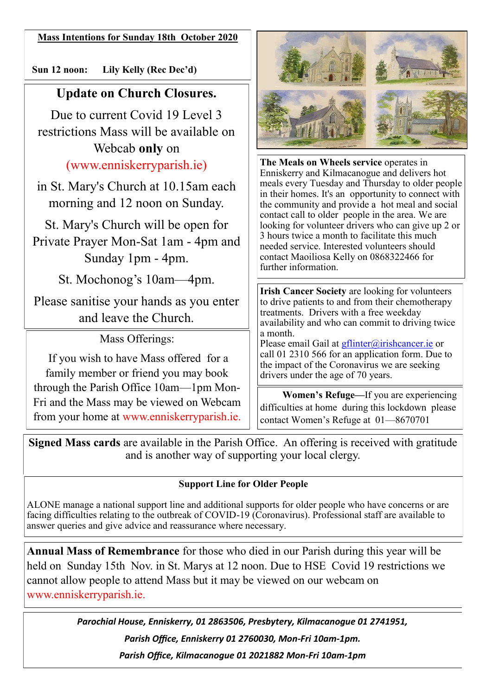**Mass Intentions for Sunday 18th October 2020**

 **Sun 12 noon: Lily Kelly (Rec Dec'd)** 

# **Update on Church Closures.**

Due to current Covid 19 Level 3 restrictions Mass will be available on Webcab **only** on (www.enniskerryparish.ie)

in St. Mary's Church at 10.15am each morning and 12 noon on Sunday.

St. Mary's Church will be open for Private Prayer Mon-Sat 1am - 4pm and Sunday 1pm - 4pm.

St. Mochonog's 10am—4pm.

Please sanitise your hands as you enter and leave the Church.

Mass Offerings:

If you wish to have Mass offered for a family member or friend you may book through the Parish Office 10am—1pm Mon-Fri and the Mass may be viewed on Webcam from your home at www.enniskerryparish.ie.



**The Meals on Wheels service** operates in Enniskerry and Kilmacanogue and delivers hot meals every Tuesday and Thursday to older people in their homes. It's an opportunity to connect with the community and provide a hot meal and social contact call to older people in the area. We are looking for volunteer drivers who can give up 2 or 3 hours twice a month to facilitate this much needed service. Interested volunteers should contact Maoiliosa Kelly on 0868322466 for further information.

**Irish Cancer Society** are looking for volunteers to drive patients to and from their chemotherapy treatments. Drivers with a free weekday availability and who can commit to driving twice a month.

Please email Gail at **[gflinter@irishcancer.ie](mailto:gflinter@irishcancer.ie)** or call 01 2310 566 for an application form. Due to the impact of the Coronavirus we are seeking drivers under the age of 70 years.

 **Women's Refuge—**If you are experiencing difficulties at home during this lockdown please contact Women's Refuge at 01—8670701

**Signed Mass cards** are available in the Parish Office. An offering is received with gratitude and is another way of supporting your local clergy.

#### **Support Line for Older People**

ALONE manage a national support line and additional supports for older people who have concerns or are facing difficulties relating to the outbreak of COVID-19 (Coronavirus). Professional staff are available to answer queries and give advice and reassurance where necessary.

**Annual Mass of Remembrance** for those who died in our Parish during this year will be held on Sunday 15th Nov. in St. Marys at 12 noon. Due to HSE Covid 19 restrictions we cannot allow people to attend Mass but it may be viewed on our webcam on www.enniskerryparish.ie.

> *Parochial House, Enniskerry, 01 2863506, Presbytery, Kilmacanogue 01 2741951, Parish Office, Enniskerry 01 2760030, Mon-Fri 10am-1pm. Parish Office, Kilmacanogue 01 2021882 Mon-Fri 10am-1pm*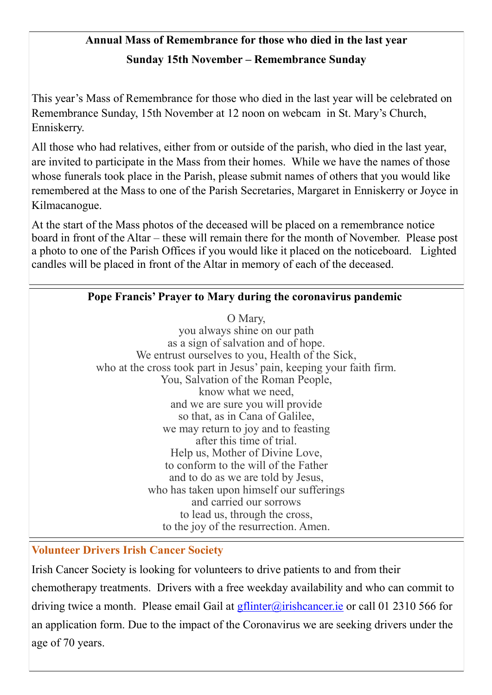# **Annual Mass of Remembrance for those who died in the last year Sunday 15th November – Remembrance Sunday**

This year's Mass of Remembrance for those who died in the last year will be celebrated on Remembrance Sunday, 15th November at 12 noon on webcam in St. Mary's Church, Enniskerry.

All those who had relatives, either from or outside of the parish, who died in the last year, are invited to participate in the Mass from their homes. While we have the names of those whose funerals took place in the Parish, please submit names of others that you would like remembered at the Mass to one of the Parish Secretaries, Margaret in Enniskerry or Joyce in Kilmacanogue.

At the start of the Mass photos of the deceased will be placed on a remembrance notice board in front of the Altar – these will remain there for the month of November. Please post a photo to one of the Parish Offices if you would like it placed on the noticeboard. Lighted candles will be placed in front of the Altar in memory of each of the deceased.

## **Pope Francis' Prayer to Mary during the coronavirus pandemic**

O Mary, you always shine on our path as a sign of salvation and of hope. We entrust ourselves to you, Health of the Sick, who at the cross took part in Jesus' pain, keeping your faith firm. You, Salvation of the Roman People, know what we need, and we are sure you will provide so that, as in Cana of Galilee, we may return to joy and to feasting after this time of trial. Help us, Mother of Divine Love, to conform to the will of the Father and to do as we are told by Jesus, who has taken upon himself our sufferings and carried our sorrows to lead us, through the cross, to the joy of the resurrection. Amen.

## **Volunteer Drivers Irish Cancer Society**

Irish Cancer Society is looking for volunteers to drive patients to and from their chemotherapy treatments. Drivers with a free weekday availability and who can commit to driving twice a month. Please email Gail at  $g$ flinter@irishcancer.ie or call 01 2310 566 for an application form. Due to the impact of the Coronavirus we are seeking drivers under the age of 70 years.